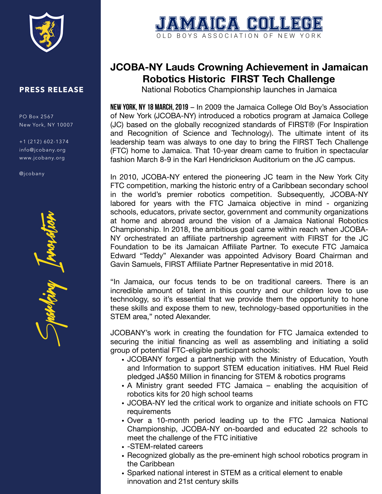

## **PRESS RELEASE**

PO Box 2567 New York, NY 10007

+1 (212) 602-1374 info@jcobany.org www.jcobany.org

@jcobany

Sparking Innoration



## **JCOBA-NY Lauds Crowning Achievement in Jamaican Robotics Historic FIRST Tech Challenge**

National Robotics Championship launches in Jamaica

**New York, NY 18 March, 2019** – In 2009 the Jamaica College Old Boy's Association of New York (JCOBA-NY) introduced a robotics program at Jamaica College (JC) based on the globally recognized standards of FIRST® (For Inspiration and Recognition of Science and Technology). The ultimate intent of its leadership team was always to one day to bring the FIRST Tech Challenge (FTC) home to Jamaica. That 10-year dream came to fruition in spectacular fashion March 8-9 in the Karl Hendrickson Auditorium on the JC campus.

In 2010, JCOBA-NY entered the pioneering JC team in the New York City FTC competition, marking the historic entry of a Caribbean secondary school in the world's premier robotics competition. Subsequently, JCOBA-NY labored for years with the FTC Jamaica objective in mind - organizing schools, educators, private sector, government and community organizations at home and abroad around the vision of a Jamaica National Robotics Championship. In 2018, the ambitious goal came within reach when JCOBA-NY orchestrated an affiliate partnership agreement with FIRST for the JC Foundation to be its Jamaican Affiliate Partner. To execute FTC Jamaica Edward "Teddy" Alexander was appointed Advisory Board Chairman and Gavin Samuels, FIRST Affiliate Partner Representative in mid 2018.

"In Jamaica, our focus tends to be on traditional careers. There is an incredible amount of talent in this country and our children love to use technology, so it's essential that we provide them the opportunity to hone these skills and expose them to new, technology-based opportunities in the STEM area," noted Alexander.

JCOBANY's work in creating the foundation for FTC Jamaica extended to securing the initial financing as well as assembling and initiating a solid group of potential FTC-eligible participant schools:

- JCOBANY forged a partnership with the Ministry of Education, Youth and Information to support STEM education initiatives. HM Ruel Reid pledged JA\$50 Million in financing for STEM & robotics programs
- A Ministry grant seeded FTC Jamaica enabling the acquisition of robotics kits for 20 high school teams
- JCOBA-NY led the critical work to organize and initiate schools on FTC requirements
- Over a 10-month period leading up to the FTC Jamaica National Championship, JCOBA-NY on-boarded and educated 22 schools to meet the challenge of the FTC initiative
- -STEM-related careers
- Recognized globally as the pre-eminent high school robotics program in the Caribbean
- Sparked national interest in STEM as a critical element to enable innovation and 21st century skills